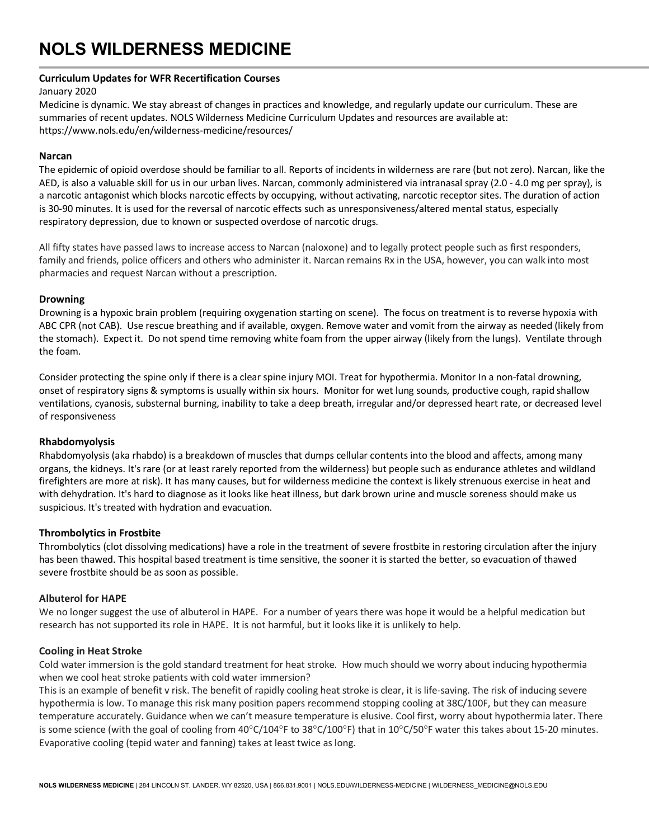# **NOLS WILDERNESS MEDICINE**

### **Curriculum Updates for WFR Recertification Courses**

January 2020

Medicine is dynamic. We stay abreast of changes in practices and knowledge, and regularly update our curriculum. These are summaries of recent updates. NOLS Wilderness Medicine Curriculum Updates and resources are available at: https://www.nols.edu/en/wilderness-medicine/resources/

## **Narcan**

The epidemic of opioid overdose should be familiar to all. Reports of incidents in wilderness are rare (but not zero). Narcan, like the AED, is also a valuable skill for us in our urban lives. Narcan, commonly administered via intranasal spray (2.0 - 4.0 mg per spray), is a narcotic antagonist which blocks narcotic effects by occupying, without activating, narcotic receptor sites. The duration of action is 30-90 minutes. It is used for the reversal of narcotic effects such as unresponsiveness/altered mental status, especially respiratory depression, due to known or suspected overdose of narcotic drugs.

All fifty states have passed laws to increase access to Narcan (naloxone) and to legally protect people such as first responders, family and friends, police officers and others who administer it. Narcan remains Rx in the USA, however, you can walk into most pharmacies and request Narcan without a prescription.

## **Drowning**

Drowning is a hypoxic brain problem (requiring oxygenation starting on scene). The focus on treatment is to reverse hypoxia with ABC CPR (not CAB). Use rescue breathing and if available, oxygen. Remove water and vomit from the airway as needed (likely from the stomach). Expect it. Do not spend time removing white foam from the upper airway (likely from the lungs). Ventilate through the foam.

Consider protecting the spine only if there is a clear spine injury MOI. Treat for hypothermia. Monitor In a non-fatal drowning, onset of respiratory signs & symptoms is usually within six hours. Monitor for wet lung sounds, productive cough, rapid shallow ventilations, cyanosis, substernal burning, inability to take a deep breath, irregular and/or depressed heart rate, or decreased level of responsiveness

## **Rhabdomyolysis**

Rhabdomyolysis (aka rhabdo) is a breakdown of muscles that dumps cellular contents into the blood and affects, among many organs, the kidneys. It's rare (or at least rarely reported from the wilderness) but people such as endurance athletes and wildland firefighters are more at risk). It has many causes, but for wilderness medicine the context is likely strenuous exercise in heat and with dehydration. It's hard to diagnose as it looks like heat illness, but dark brown urine and muscle soreness should make us suspicious. It's treated with hydration and evacuation.

## **Thrombolytics in Frostbite**

Thrombolytics (clot dissolving medications) have a role in the treatment of severe frostbite in restoring circulation after the injury has been thawed. This hospital based treatment is time sensitive, the sooner it is started the better, so evacuation of thawed severe frostbite should be as soon as possible.

## **Albuterol for HAPE**

We no longer suggest the use of albuterol in HAPE. For a number of years there was hope it would be a helpful medication but research has not supported its role in HAPE. It is not harmful, but it looks like it is unlikely to help.

#### **Cooling in Heat Stroke**

Cold water immersion is the gold standard treatment for heat stroke. How much should we worry about inducing hypothermia when we cool heat stroke patients with cold water immersion?

This is an example of benefit v risk. The benefit of rapidly cooling heat stroke is clear, it is life-saving. The risk of inducing severe hypothermia is low. To manage this risk many position papers recommend stopping cooling at 38C/100F, but they can measure temperature accurately. Guidance when we can't measure temperature is elusive. Cool first, worry about hypothermia later. There is some science (with the goal of cooling from  $40^{\circ}C/104^{\circ}F$  to  $38^{\circ}C/100^{\circ}F$ ) that in  $10^{\circ}C/50^{\circ}F$  water this takes about 15-20 minutes. Evaporative cooling (tepid water and fanning) takes at least twice as long.